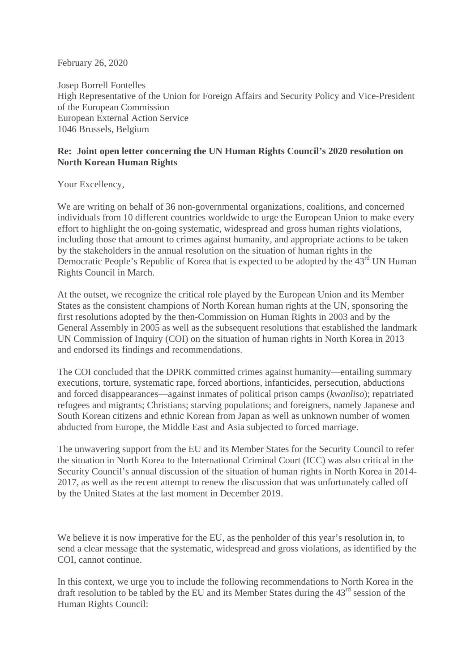February 26, 2020

Josep Borrell Fontelles High Representative of the Union for Foreign Affairs and Security Policy and Vice-President of the European Commission European External Action Service 1046 Brussels, Belgium

## **Re: Joint open letter concerning the UN Human Rights Council's 2020 resolution on North Korean Human Rights**

Your Excellency,

We are writing on behalf of 36 non-governmental organizations, coalitions, and concerned individuals from 10 different countries worldwide to urge the European Union to make every effort to highlight the on-going systematic, widespread and gross human rights violations, including those that amount to crimes against humanity, and appropriate actions to be taken by the stakeholders in the annual resolution on the situation of human rights in the Democratic People's Republic of Korea that is expected to be adopted by the 43<sup>rd</sup> UN Human Rights Council in March.

At the outset, we recognize the critical role played by the European Union and its Member States as the consistent champions of North Korean human rights at the UN, sponsoring the first resolutions adopted by the then-Commission on Human Rights in 2003 and by the General Assembly in 2005 as well as the subsequent resolutions that established the landmark UN Commission of Inquiry (COI) on the situation of human rights in North Korea in 2013 and endorsed its findings and recommendations.

The COI concluded that the DPRK committed crimes against humanity—entailing summary executions, torture, systematic rape, forced abortions, infanticides, persecution, abductions and forced disappearances—against inmates of political prison camps (*kwanliso*); repatriated refugees and migrants; Christians; starving populations; and foreigners, namely Japanese and South Korean citizens and ethnic Korean from Japan as well as unknown number of women abducted from Europe, the Middle East and Asia subjected to forced marriage.

The unwavering support from the EU and its Member States for the Security Council to refer the situation in North Korea to the International Criminal Court (ICC) was also critical in the Security Council's annual discussion of the situation of human rights in North Korea in 2014- 2017, as well as the recent attempt to renew the discussion that was unfortunately called off by the United States at the last moment in December 2019.

We believe it is now imperative for the EU, as the penholder of this year's resolution in, to send a clear message that the systematic, widespread and gross violations, as identified by the COI, cannot continue.

In this context, we urge you to include the following recommendations to North Korea in the draft resolution to be tabled by the EU and its Member States during the 43<sup>rd</sup> session of the Human Rights Council: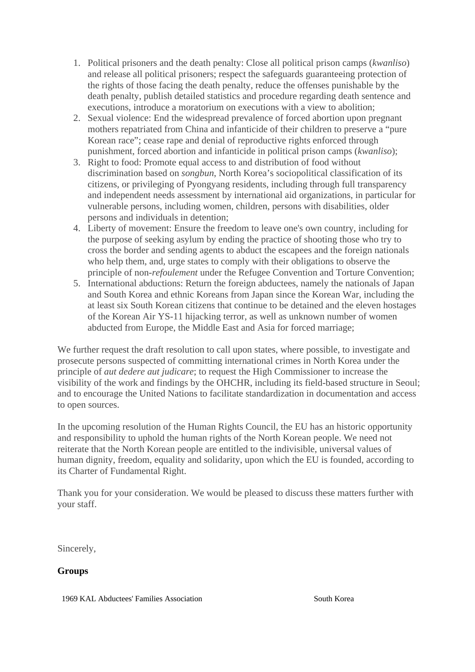- 1. Political prisoners and the death penalty: Close all political prison camps (*kwanliso*) and release all political prisoners; respect the safeguards guaranteeing protection of the rights of those facing the death penalty, reduce the offenses punishable by the death penalty, publish detailed statistics and procedure regarding death sentence and executions, introduce a moratorium on executions with a view to abolition;
- 2. Sexual violence: End the widespread prevalence of forced abortion upon pregnant mothers repatriated from China and infanticide of their children to preserve a "pure Korean race"; cease rape and denial of reproductive rights enforced through punishment, forced abortion and infanticide in political prison camps (*kwanliso*);
- 3. Right to food: Promote equal access to and distribution of food without discrimination based on *songbun*, North Korea's sociopolitical classification of its citizens, or privileging of Pyongyang residents, including through full transparency and independent needs assessment by international aid organizations, in particular for vulnerable persons, including women, children, persons with disabilities, older persons and individuals in detention;
- 4. Liberty of movement: Ensure the freedom to leave one's own country, including for the purpose of seeking asylum by ending the practice of shooting those who try to cross the border and sending agents to abduct the escapees and the foreign nationals who help them, and, urge states to comply with their obligations to observe the principle of non-*refoulement* under the Refugee Convention and Torture Convention;
- 5. International abductions: Return the foreign abductees, namely the nationals of Japan and South Korea and ethnic Koreans from Japan since the Korean War, including the at least six South Korean citizens that continue to be detained and the eleven hostages of the Korean Air YS-11 hijacking terror, as well as unknown number of women abducted from Europe, the Middle East and Asia for forced marriage;

We further request the draft resolution to call upon states, where possible, to investigate and prosecute persons suspected of committing international crimes in North Korea under the principle of *aut dedere aut judicare*; to request the High Commissioner to increase the visibility of the work and findings by the OHCHR, including its field-based structure in Seoul; and to encourage the United Nations to facilitate standardization in documentation and access to open sources.

In the upcoming resolution of the Human Rights Council, the EU has an historic opportunity and responsibility to uphold the human rights of the North Korean people. We need not reiterate that the North Korean people are entitled to the indivisible, universal values of human dignity, freedom, equality and solidarity, upon which the EU is founded, according to its Charter of Fundamental Right.

Thank you for your consideration. We would be pleased to discuss these matters further with your staff.

Sincerely,

## **Groups**

1969 KAL Abductees' Families Association South Korea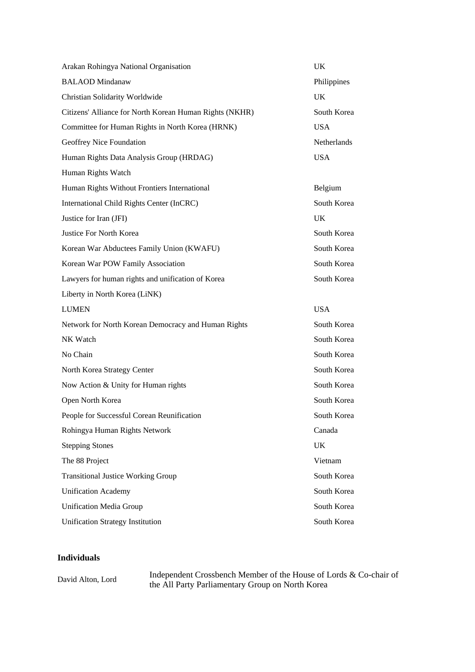| Arakan Rohingya National Organisation                   | UK          |
|---------------------------------------------------------|-------------|
| <b>BALAOD</b> Mindanaw                                  | Philippines |
| Christian Solidarity Worldwide                          | UK          |
| Citizens' Alliance for North Korean Human Rights (NKHR) | South Korea |
| Committee for Human Rights in North Korea (HRNK)        | <b>USA</b>  |
| Geoffrey Nice Foundation                                | Netherlands |
| Human Rights Data Analysis Group (HRDAG)                | <b>USA</b>  |
| Human Rights Watch                                      |             |
| Human Rights Without Frontiers International            | Belgium     |
| International Child Rights Center (InCRC)               | South Korea |
| Justice for Iran (JFI)                                  | <b>UK</b>   |
| Justice For North Korea                                 | South Korea |
| Korean War Abductees Family Union (KWAFU)               | South Korea |
| Korean War POW Family Association                       | South Korea |
| Lawyers for human rights and unification of Korea       | South Korea |
| Liberty in North Korea (LiNK)                           |             |
| <b>LUMEN</b>                                            | <b>USA</b>  |
| Network for North Korean Democracy and Human Rights     | South Korea |
| NK Watch                                                | South Korea |
| No Chain                                                | South Korea |
| North Korea Strategy Center                             | South Korea |
| Now Action & Unity for Human rights                     | South Korea |
| Open North Korea                                        | South Korea |
| People for Successful Corean Reunification              | South Korea |
| Rohingya Human Rights Network                           | Canada      |
| <b>Stepping Stones</b>                                  | UK          |
| The 88 Project                                          | Vietnam     |
| <b>Transitional Justice Working Group</b>               | South Korea |
| <b>Unification Academy</b>                              | South Korea |
| <b>Unification Media Group</b>                          | South Korea |
| <b>Unification Strategy Institution</b>                 | South Korea |

## **Individuals**

David Alton, Lord Independent Crossbench Member of the House of Lords & Co-chair of<br>the All Party Parliamentary Group on North Korea